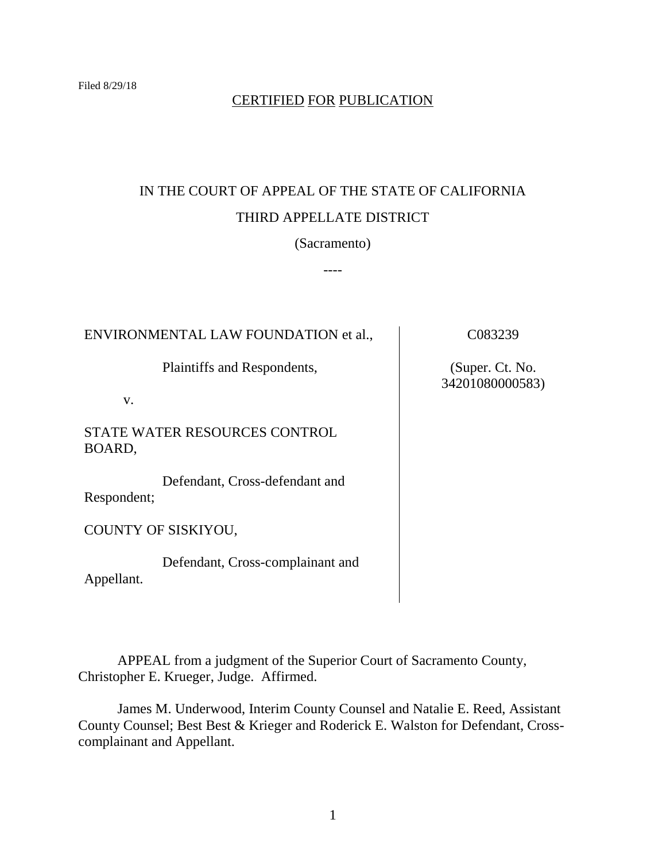## CERTIFIED FOR PUBLICATION

# IN THE COURT OF APPEAL OF THE STATE OF CALIFORNIA THIRD APPELLATE DISTRICT

(Sacramento)

----

ENVIRONMENTAL LAW FOUNDATION et al.,

Plaintiffs and Respondents,

v.

STATE WATER RESOURCES CONTROL BOARD,

Defendant, Cross-defendant and Respondent;

COUNTY OF SISKIYOU,

Defendant, Cross-complainant and Appellant.

C083239

(Super. Ct. No. 34201080000583)

APPEAL from a judgment of the Superior Court of Sacramento County, Christopher E. Krueger, Judge. Affirmed.

James M. Underwood, Interim County Counsel and Natalie E. Reed, Assistant County Counsel; Best Best & Krieger and Roderick E. Walston for Defendant, Crosscomplainant and Appellant.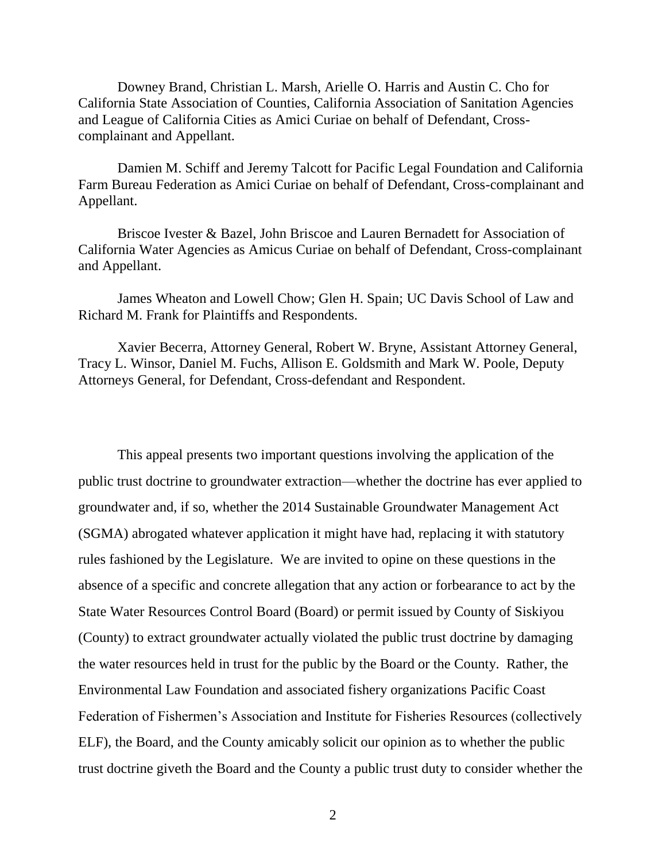Downey Brand, Christian L. Marsh, Arielle O. Harris and Austin C. Cho for California State Association of Counties, California Association of Sanitation Agencies and League of California Cities as Amici Curiae on behalf of Defendant, Crosscomplainant and Appellant.

Damien M. Schiff and Jeremy Talcott for Pacific Legal Foundation and California Farm Bureau Federation as Amici Curiae on behalf of Defendant, Cross-complainant and Appellant.

Briscoe Ivester & Bazel, John Briscoe and Lauren Bernadett for Association of California Water Agencies as Amicus Curiae on behalf of Defendant, Cross-complainant and Appellant.

James Wheaton and Lowell Chow; Glen H. Spain; UC Davis School of Law and Richard M. Frank for Plaintiffs and Respondents.

Xavier Becerra, Attorney General, Robert W. Bryne, Assistant Attorney General, Tracy L. Winsor, Daniel M. Fuchs, Allison E. Goldsmith and Mark W. Poole, Deputy Attorneys General, for Defendant, Cross-defendant and Respondent.

This appeal presents two important questions involving the application of the public trust doctrine to groundwater extraction—whether the doctrine has ever applied to groundwater and, if so, whether the 2014 Sustainable Groundwater Management Act (SGMA) abrogated whatever application it might have had, replacing it with statutory rules fashioned by the Legislature. We are invited to opine on these questions in the absence of a specific and concrete allegation that any action or forbearance to act by the State Water Resources Control Board (Board) or permit issued by County of Siskiyou (County) to extract groundwater actually violated the public trust doctrine by damaging the water resources held in trust for the public by the Board or the County. Rather, the Environmental Law Foundation and associated fishery organizations Pacific Coast Federation of Fishermen's Association and Institute for Fisheries Resources (collectively ELF), the Board, and the County amicably solicit our opinion as to whether the public trust doctrine giveth the Board and the County a public trust duty to consider whether the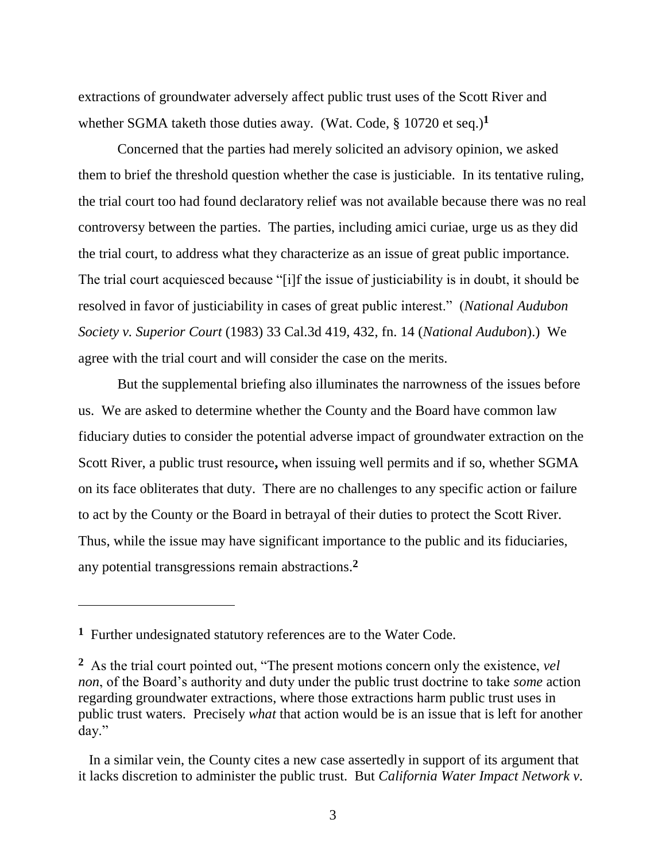extractions of groundwater adversely affect public trust uses of the Scott River and whether SGMA taketh those duties away. (Wat. Code, § 10720 et seq.)**<sup>1</sup>**

Concerned that the parties had merely solicited an advisory opinion, we asked them to brief the threshold question whether the case is justiciable. In its tentative ruling, the trial court too had found declaratory relief was not available because there was no real controversy between the parties. The parties, including amici curiae, urge us as they did the trial court, to address what they characterize as an issue of great public importance. The trial court acquiesced because "[i]f the issue of justiciability is in doubt, it should be resolved in favor of justiciability in cases of great public interest." (*National Audubon Society v. Superior Court* (1983) 33 Cal.3d 419, 432, fn. 14 (*National Audubon*).) We agree with the trial court and will consider the case on the merits.

But the supplemental briefing also illuminates the narrowness of the issues before us. We are asked to determine whether the County and the Board have common law fiduciary duties to consider the potential adverse impact of groundwater extraction on the Scott River, a public trust resource**,** when issuing well permits and if so, whether SGMA on its face obliterates that duty. There are no challenges to any specific action or failure to act by the County or the Board in betrayal of their duties to protect the Scott River. Thus, while the issue may have significant importance to the public and its fiduciaries, any potential transgressions remain abstractions.**<sup>2</sup>**

**<sup>1</sup>** Further undesignated statutory references are to the Water Code.

**<sup>2</sup>** As the trial court pointed out, "The present motions concern only the existence, *vel non*, of the Board's authority and duty under the public trust doctrine to take *some* action regarding groundwater extractions, where those extractions harm public trust uses in public trust waters. Precisely *what* that action would be is an issue that is left for another day."

In a similar vein, the County cites a new case assertedly in support of its argument that it lacks discretion to administer the public trust. But *California Water Impact Network v.*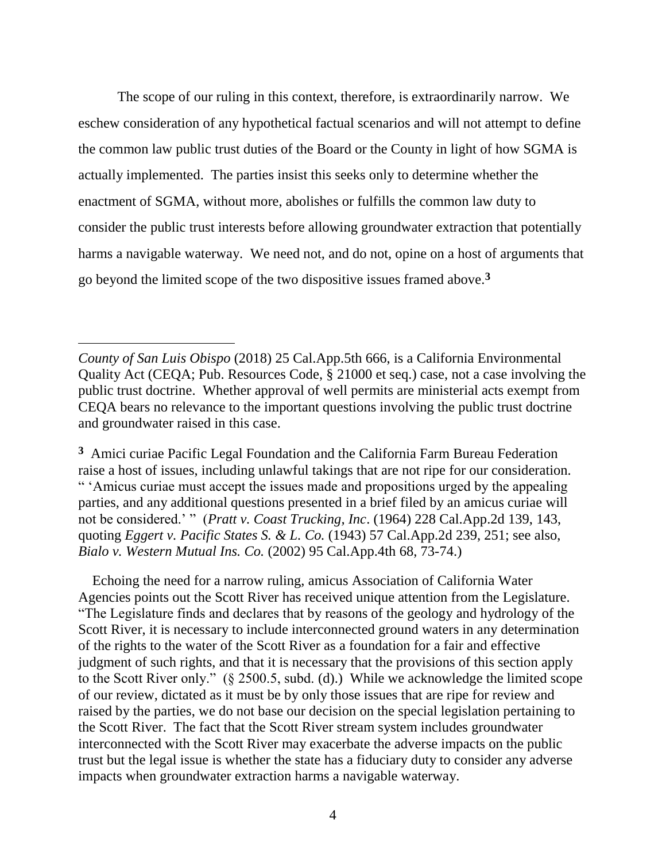The scope of our ruling in this context, therefore, is extraordinarily narrow. We eschew consideration of any hypothetical factual scenarios and will not attempt to define the common law public trust duties of the Board or the County in light of how SGMA is actually implemented. The parties insist this seeks only to determine whether the enactment of SGMA, without more, abolishes or fulfills the common law duty to consider the public trust interests before allowing groundwater extraction that potentially harms a navigable waterway. We need not, and do not, opine on a host of arguments that go beyond the limited scope of the two dispositive issues framed above.**<sup>3</sup>**

 $\overline{a}$ 

**3** Amici curiae Pacific Legal Foundation and the California Farm Bureau Federation raise a host of issues, including unlawful takings that are not ripe for our consideration. " 'Amicus curiae must accept the issues made and propositions urged by the appealing parties, and any additional questions presented in a brief filed by an amicus curiae will not be considered.' " (*Pratt v. Coast Trucking, Inc*. (1964) 228 Cal.App.2d 139, 143, quoting *Eggert v. Pacific States S. & L. Co.* (1943) 57 Cal.App.2d 239, 251; see also, *Bialo v. Western Mutual Ins. Co.* (2002) 95 Cal.App.4th 68, 73-74.)

 Echoing the need for a narrow ruling, amicus Association of California Water Agencies points out the Scott River has received unique attention from the Legislature. "The Legislature finds and declares that by reasons of the geology and hydrology of the Scott River, it is necessary to include interconnected ground waters in any determination of the rights to the water of the Scott River as a foundation for a fair and effective judgment of such rights, and that it is necessary that the provisions of this section apply to the Scott River only." (§ 2500.5, subd. (d).) While we acknowledge the limited scope of our review, dictated as it must be by only those issues that are ripe for review and raised by the parties, we do not base our decision on the special legislation pertaining to the Scott River. The fact that the Scott River stream system includes groundwater interconnected with the Scott River may exacerbate the adverse impacts on the public trust but the legal issue is whether the state has a fiduciary duty to consider any adverse impacts when groundwater extraction harms a navigable waterway.

*County of San Luis Obispo* (2018) 25 Cal.App.5th 666, is a California Environmental Quality Act (CEQA; Pub. Resources Code, § 21000 et seq.) case, not a case involving the public trust doctrine. Whether approval of well permits are ministerial acts exempt from CEQA bears no relevance to the important questions involving the public trust doctrine and groundwater raised in this case.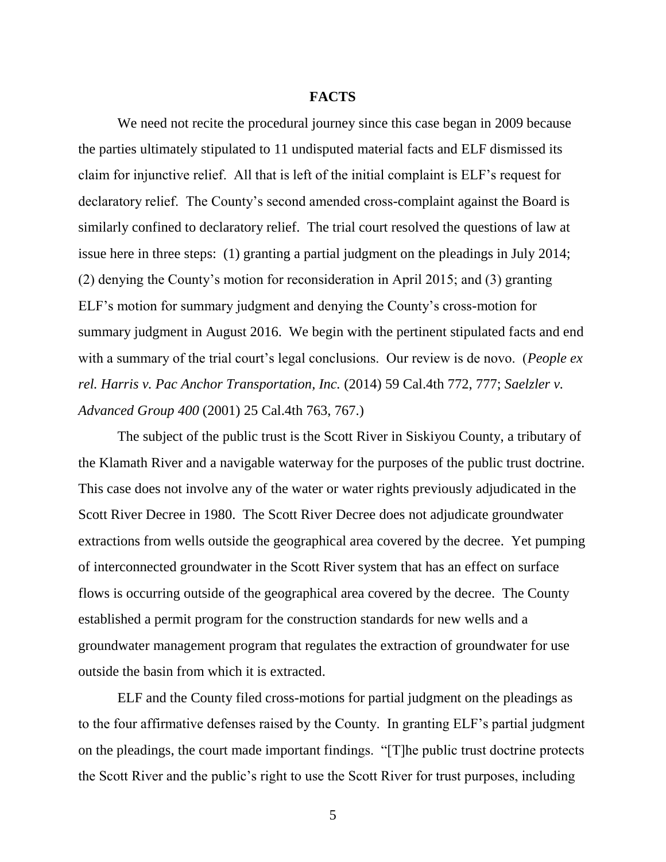### **FACTS**

We need not recite the procedural journey since this case began in 2009 because the parties ultimately stipulated to 11 undisputed material facts and ELF dismissed its claim for injunctive relief. All that is left of the initial complaint is ELF's request for declaratory relief. The County's second amended cross-complaint against the Board is similarly confined to declaratory relief. The trial court resolved the questions of law at issue here in three steps: (1) granting a partial judgment on the pleadings in July 2014; (2) denying the County's motion for reconsideration in April 2015; and (3) granting ELF's motion for summary judgment and denying the County's cross-motion for summary judgment in August 2016. We begin with the pertinent stipulated facts and end with a summary of the trial court's legal conclusions. Our review is de novo. (*People ex rel. Harris v. Pac Anchor Transportation, Inc.* (2014) 59 Cal.4th 772, 777; *Saelzler v. Advanced Group 400* (2001) 25 Cal.4th 763, 767.)

The subject of the public trust is the Scott River in Siskiyou County, a tributary of the Klamath River and a navigable waterway for the purposes of the public trust doctrine. This case does not involve any of the water or water rights previously adjudicated in the Scott River Decree in 1980. The Scott River Decree does not adjudicate groundwater extractions from wells outside the geographical area covered by the decree. Yet pumping of interconnected groundwater in the Scott River system that has an effect on surface flows is occurring outside of the geographical area covered by the decree. The County established a permit program for the construction standards for new wells and a groundwater management program that regulates the extraction of groundwater for use outside the basin from which it is extracted.

ELF and the County filed cross-motions for partial judgment on the pleadings as to the four affirmative defenses raised by the County. In granting ELF's partial judgment on the pleadings, the court made important findings. "[T]he public trust doctrine protects the Scott River and the public's right to use the Scott River for trust purposes, including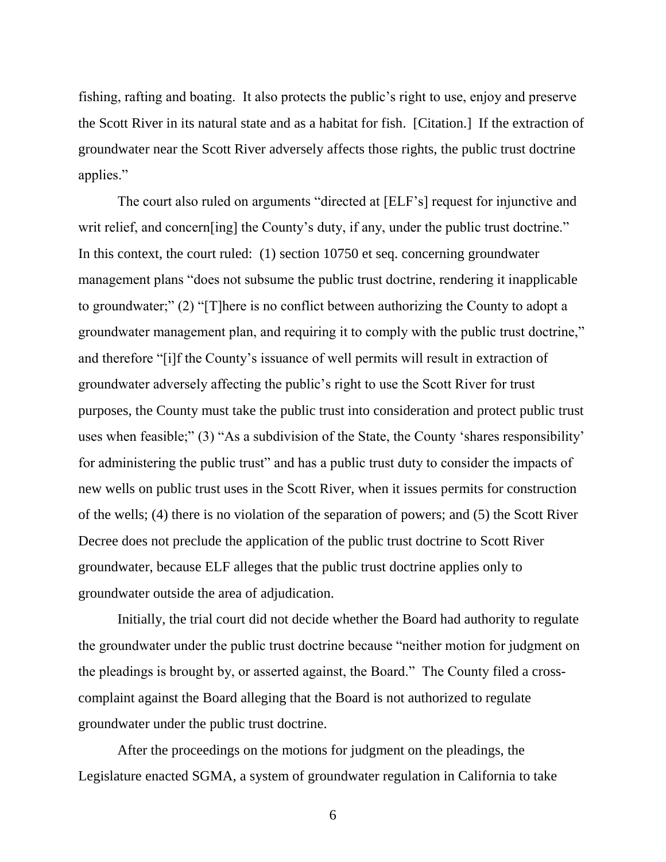fishing, rafting and boating. It also protects the public's right to use, enjoy and preserve the Scott River in its natural state and as a habitat for fish. [Citation.] If the extraction of groundwater near the Scott River adversely affects those rights, the public trust doctrine applies."

The court also ruled on arguments "directed at [ELF's] request for injunctive and writ relief, and concern [ing] the County's duty, if any, under the public trust doctrine." In this context, the court ruled: (1) section 10750 et seq. concerning groundwater management plans "does not subsume the public trust doctrine, rendering it inapplicable to groundwater;" (2) "[T]here is no conflict between authorizing the County to adopt a groundwater management plan, and requiring it to comply with the public trust doctrine," and therefore "[i]f the County's issuance of well permits will result in extraction of groundwater adversely affecting the public's right to use the Scott River for trust purposes, the County must take the public trust into consideration and protect public trust uses when feasible;" (3) "As a subdivision of the State, the County 'shares responsibility' for administering the public trust" and has a public trust duty to consider the impacts of new wells on public trust uses in the Scott River, when it issues permits for construction of the wells; (4) there is no violation of the separation of powers; and (5) the Scott River Decree does not preclude the application of the public trust doctrine to Scott River groundwater, because ELF alleges that the public trust doctrine applies only to groundwater outside the area of adjudication.

Initially, the trial court did not decide whether the Board had authority to regulate the groundwater under the public trust doctrine because "neither motion for judgment on the pleadings is brought by, or asserted against, the Board." The County filed a crosscomplaint against the Board alleging that the Board is not authorized to regulate groundwater under the public trust doctrine.

After the proceedings on the motions for judgment on the pleadings, the Legislature enacted SGMA, a system of groundwater regulation in California to take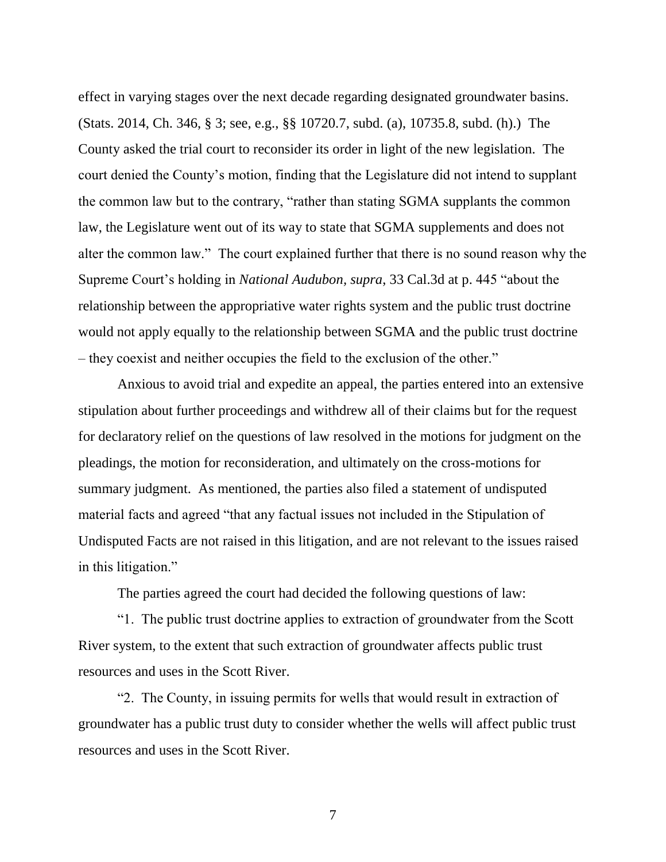effect in varying stages over the next decade regarding designated groundwater basins. (Stats. 2014, Ch. 346, § 3; see, e.g., §§ 10720.7, subd. (a), 10735.8, subd. (h).) The County asked the trial court to reconsider its order in light of the new legislation. The court denied the County's motion, finding that the Legislature did not intend to supplant the common law but to the contrary, "rather than stating SGMA supplants the common law, the Legislature went out of its way to state that SGMA supplements and does not alter the common law." The court explained further that there is no sound reason why the Supreme Court's holding in *National Audubon, supra*, 33 Cal.3d at p. 445 "about the relationship between the appropriative water rights system and the public trust doctrine would not apply equally to the relationship between SGMA and the public trust doctrine – they coexist and neither occupies the field to the exclusion of the other."

Anxious to avoid trial and expedite an appeal, the parties entered into an extensive stipulation about further proceedings and withdrew all of their claims but for the request for declaratory relief on the questions of law resolved in the motions for judgment on the pleadings, the motion for reconsideration, and ultimately on the cross-motions for summary judgment. As mentioned, the parties also filed a statement of undisputed material facts and agreed "that any factual issues not included in the Stipulation of Undisputed Facts are not raised in this litigation, and are not relevant to the issues raised in this litigation."

The parties agreed the court had decided the following questions of law:

"1. The public trust doctrine applies to extraction of groundwater from the Scott River system, to the extent that such extraction of groundwater affects public trust resources and uses in the Scott River.

"2. The County, in issuing permits for wells that would result in extraction of groundwater has a public trust duty to consider whether the wells will affect public trust resources and uses in the Scott River.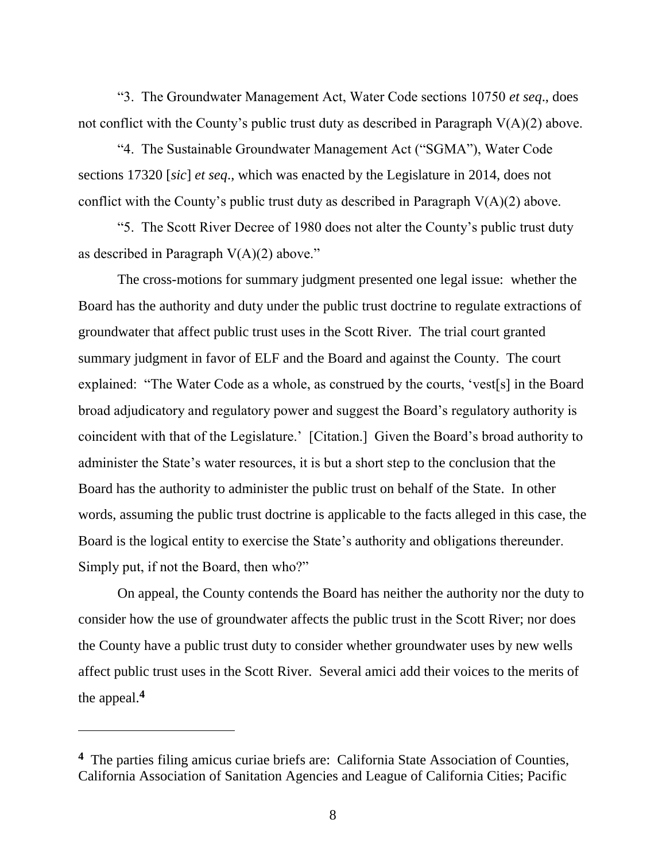"3. The Groundwater Management Act, Water Code sections 10750 *et seq*., does not conflict with the County's public trust duty as described in Paragraph V(A)(2) above.

"4. The Sustainable Groundwater Management Act ("SGMA"), Water Code sections 17320 [*sic*] *et seq*., which was enacted by the Legislature in 2014, does not conflict with the County's public trust duty as described in Paragraph  $V(A)(2)$  above.

"5. The Scott River Decree of 1980 does not alter the County's public trust duty as described in Paragraph  $V(A)(2)$  above."

The cross-motions for summary judgment presented one legal issue: whether the Board has the authority and duty under the public trust doctrine to regulate extractions of groundwater that affect public trust uses in the Scott River. The trial court granted summary judgment in favor of ELF and the Board and against the County. The court explained: "The Water Code as a whole, as construed by the courts, 'vest[s] in the Board broad adjudicatory and regulatory power and suggest the Board's regulatory authority is coincident with that of the Legislature.' [Citation.] Given the Board's broad authority to administer the State's water resources, it is but a short step to the conclusion that the Board has the authority to administer the public trust on behalf of the State. In other words, assuming the public trust doctrine is applicable to the facts alleged in this case, the Board is the logical entity to exercise the State's authority and obligations thereunder. Simply put, if not the Board, then who?"

On appeal, the County contends the Board has neither the authority nor the duty to consider how the use of groundwater affects the public trust in the Scott River; nor does the County have a public trust duty to consider whether groundwater uses by new wells affect public trust uses in the Scott River. Several amici add their voices to the merits of the appeal.**<sup>4</sup>**

 $\overline{a}$ 

**<sup>4</sup>** The parties filing amicus curiae briefs are: California State Association of Counties, California Association of Sanitation Agencies and League of California Cities; Pacific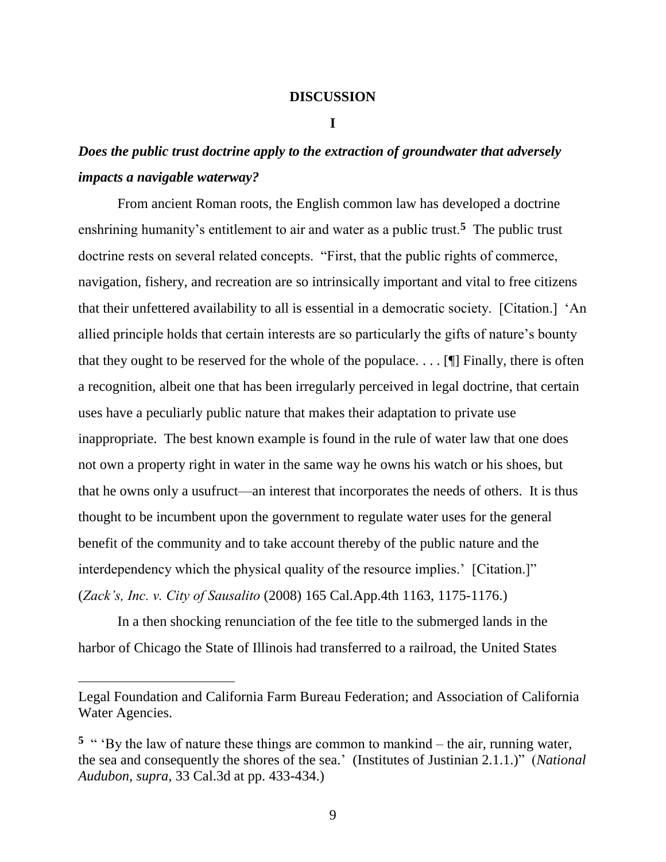## **DISCUSSION**

#### **I**

## *Does the public trust doctrine apply to the extraction of groundwater that adversely impacts a navigable waterway?*

From ancient Roman roots, the English common law has developed a doctrine enshrining humanity's entitlement to air and water as a public trust.**<sup>5</sup>** The public trust doctrine rests on several related concepts. "First, that the public rights of commerce, navigation, fishery, and recreation are so intrinsically important and vital to free citizens that their unfettered availability to all is essential in a democratic society. [Citation.] 'An allied principle holds that certain interests are so particularly the gifts of nature's bounty that they ought to be reserved for the whole of the populace.  $\dots$  [I] Finally, there is often a recognition, albeit one that has been irregularly perceived in legal doctrine, that certain uses have a peculiarly public nature that makes their adaptation to private use inappropriate. The best known example is found in the rule of water law that one does not own a property right in water in the same way he owns his watch or his shoes, but that he owns only a usufruct—an interest that incorporates the needs of others. It is thus thought to be incumbent upon the government to regulate water uses for the general benefit of the community and to take account thereby of the public nature and the interdependency which the physical quality of the resource implies.' [Citation.]" (*Zack's, Inc. v. City of Sausalito* (2008) 165 Cal.App.4th 1163, 1175-1176.)

In a then shocking renunciation of the fee title to the submerged lands in the harbor of Chicago the State of Illinois had transferred to a railroad, the United States

Legal Foundation and California Farm Bureau Federation; and Association of California Water Agencies.

<sup>&</sup>lt;sup>5</sup> " 'By the law of nature these things are common to mankind – the air, running water, the sea and consequently the shores of the sea.' (Institutes of Justinian 2.1.1.)" (*National Audubon, supra*, 33 Cal.3d at pp. 433-434.)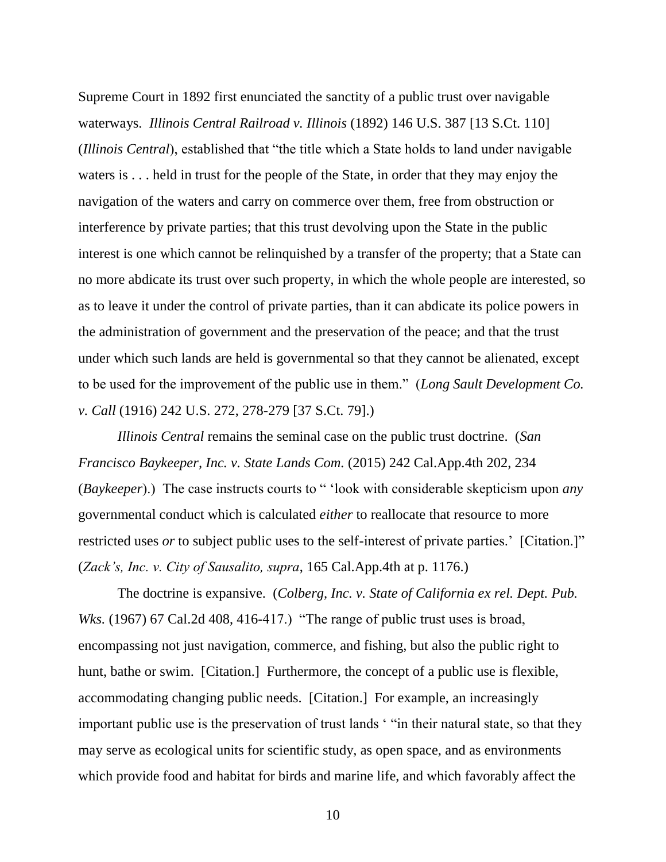Supreme Court in 1892 first enunciated the sanctity of a public trust over navigable waterways. *Illinois Central Railroad v. Illinois* (1892) 146 U.S. 387 [13 S.Ct. 110] (*Illinois Central*), established that "the title which a State holds to land under navigable waters is . . . held in trust for the people of the State, in order that they may enjoy the navigation of the waters and carry on commerce over them, free from obstruction or interference by private parties; that this trust devolving upon the State in the public interest is one which cannot be relinquished by a transfer of the property; that a State can no more abdicate its trust over such property, in which the whole people are interested, so as to leave it under the control of private parties, than it can abdicate its police powers in the administration of government and the preservation of the peace; and that the trust under which such lands are held is governmental so that they cannot be alienated, except to be used for the improvement of the public use in them." (*Long Sault Development Co. v. Call* (1916) 242 U.S. 272, 278-279 [37 S.Ct. 79].)

*Illinois Central* remains the seminal case on the public trust doctrine. (*San Francisco Baykeeper, Inc. v. State Lands Com.* (2015) 242 Cal.App.4th 202, 234 (*Baykeeper*).) The case instructs courts to " 'look with considerable skepticism upon *any* governmental conduct which is calculated *either* to reallocate that resource to more restricted uses *or* to subject public uses to the self-interest of private parties.' [Citation.]" (*Zack's, Inc. v. City of Sausalito, supra*, 165 Cal.App.4th at p. 1176.)

The doctrine is expansive. (*Colberg, Inc. v. State of California ex rel. Dept. Pub. Wks.* (1967) 67 Cal.2d 408, 416-417.) "The range of public trust uses is broad, encompassing not just navigation, commerce, and fishing, but also the public right to hunt, bathe or swim. [Citation.] Furthermore, the concept of a public use is flexible, accommodating changing public needs. [Citation.] For example, an increasingly important public use is the preservation of trust lands ' "in their natural state, so that they may serve as ecological units for scientific study, as open space, and as environments which provide food and habitat for birds and marine life, and which favorably affect the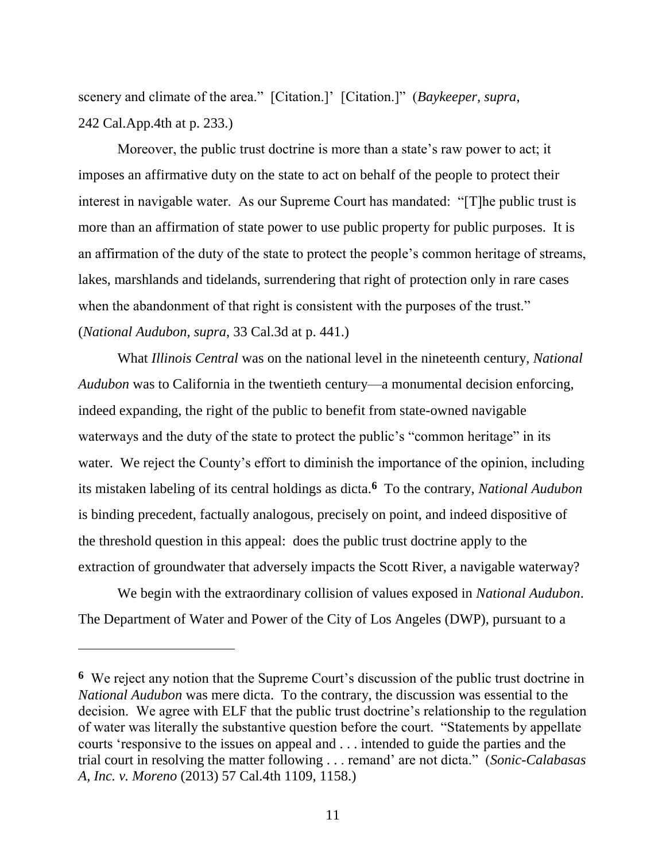scenery and climate of the area." [Citation.]' [Citation.]" (*Baykeeper, supra*, 242 Cal.App.4th at p. 233.)

Moreover, the public trust doctrine is more than a state's raw power to act; it imposes an affirmative duty on the state to act on behalf of the people to protect their interest in navigable water. As our Supreme Court has mandated: "[T]he public trust is more than an affirmation of state power to use public property for public purposes. It is an affirmation of the duty of the state to protect the people's common heritage of streams, lakes, marshlands and tidelands, surrendering that right of protection only in rare cases when the abandonment of that right is consistent with the purposes of the trust." (*National Audubon, supra*, 33 Cal.3d at p. 441.)

What *Illinois Central* was on the national level in the nineteenth century, *National Audubon* was to California in the twentieth century—a monumental decision enforcing, indeed expanding, the right of the public to benefit from state-owned navigable waterways and the duty of the state to protect the public's "common heritage" in its water. We reject the County's effort to diminish the importance of the opinion, including its mistaken labeling of its central holdings as dicta.**<sup>6</sup>** To the contrary, *National Audubon* is binding precedent, factually analogous, precisely on point, and indeed dispositive of the threshold question in this appeal: does the public trust doctrine apply to the extraction of groundwater that adversely impacts the Scott River, a navigable waterway?

We begin with the extraordinary collision of values exposed in *National Audubon*. The Department of Water and Power of the City of Los Angeles (DWP), pursuant to a

**<sup>6</sup>** We reject any notion that the Supreme Court's discussion of the public trust doctrine in *National Audubon* was mere dicta. To the contrary, the discussion was essential to the decision. We agree with ELF that the public trust doctrine's relationship to the regulation of water was literally the substantive question before the court. "Statements by appellate courts 'responsive to the issues on appeal and . . . intended to guide the parties and the trial court in resolving the matter following . . . remand' are not dicta." (*Sonic-Calabasas A, Inc. v. Moreno* (2013) 57 Cal.4th 1109, 1158.)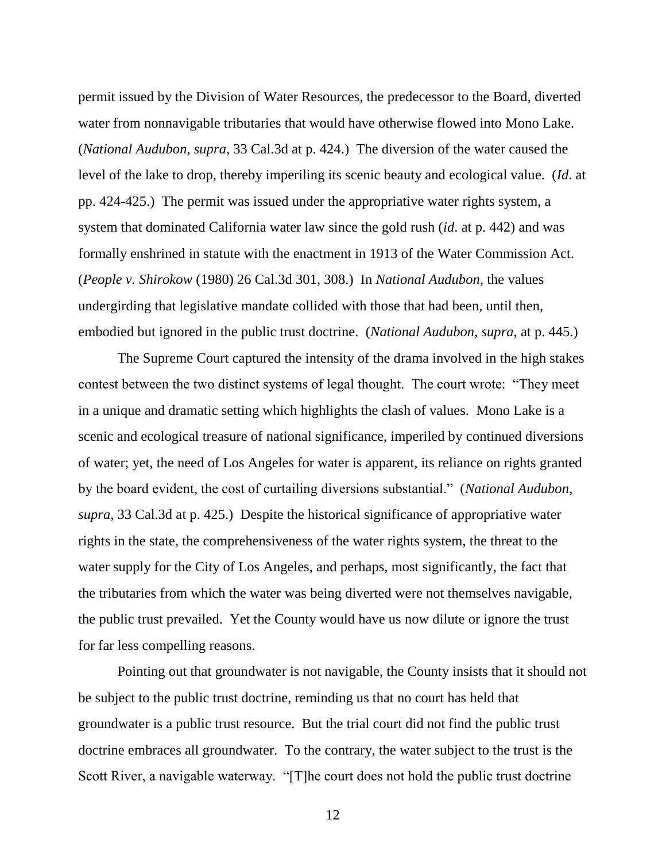permit issued by the Division of Water Resources, the predecessor to the Board, diverted water from nonnavigable tributaries that would have otherwise flowed into Mono Lake. (*National Audubon, supra*, 33 Cal.3d at p. 424.) The diversion of the water caused the level of the lake to drop, thereby imperiling its scenic beauty and ecological value. (*Id*. at pp. 424-425.) The permit was issued under the appropriative water rights system, a system that dominated California water law since the gold rush (*id*. at p. 442) and was formally enshrined in statute with the enactment in 1913 of the Water Commission Act. (*People v. Shirokow* (1980) 26 Cal.3d 301, 308.) In *National Audubon*, the values undergirding that legislative mandate collided with those that had been, until then, embodied but ignored in the public trust doctrine. (*National Audubon, supra*, at p. 445.)

The Supreme Court captured the intensity of the drama involved in the high stakes contest between the two distinct systems of legal thought. The court wrote: "They meet in a unique and dramatic setting which highlights the clash of values. Mono Lake is a scenic and ecological treasure of national significance, imperiled by continued diversions of water; yet, the need of Los Angeles for water is apparent, its reliance on rights granted by the board evident, the cost of curtailing diversions substantial." (*National Audubon, supra*, 33 Cal.3d at p. 425.) Despite the historical significance of appropriative water rights in the state, the comprehensiveness of the water rights system, the threat to the water supply for the City of Los Angeles, and perhaps, most significantly, the fact that the tributaries from which the water was being diverted were not themselves navigable, the public trust prevailed. Yet the County would have us now dilute or ignore the trust for far less compelling reasons.

Pointing out that groundwater is not navigable, the County insists that it should not be subject to the public trust doctrine, reminding us that no court has held that groundwater is a public trust resource. But the trial court did not find the public trust doctrine embraces all groundwater. To the contrary, the water subject to the trust is the Scott River, a navigable waterway. "[T]he court does not hold the public trust doctrine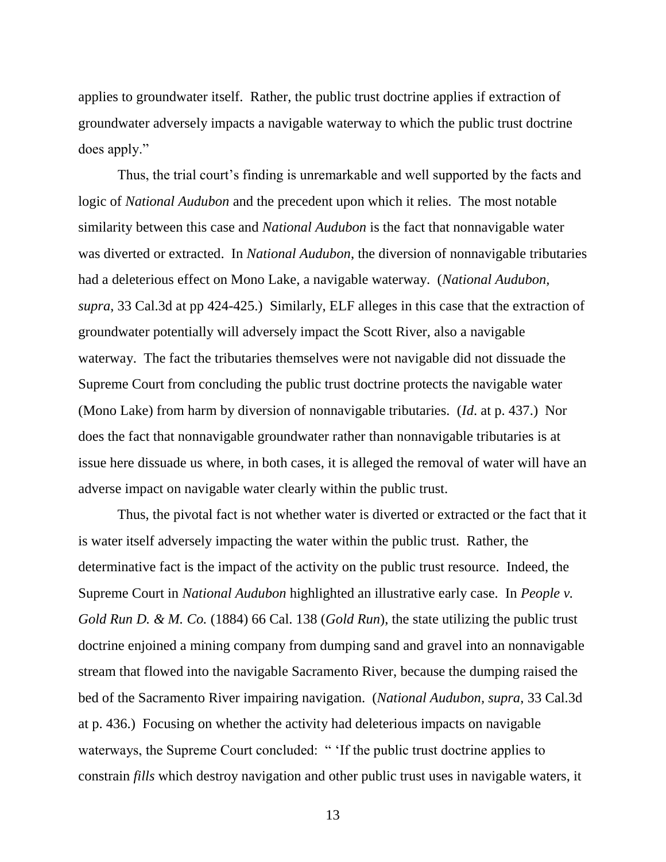applies to groundwater itself. Rather, the public trust doctrine applies if extraction of groundwater adversely impacts a navigable waterway to which the public trust doctrine does apply."

Thus, the trial court's finding is unremarkable and well supported by the facts and logic of *National Audubon* and the precedent upon which it relies. The most notable similarity between this case and *National Audubon* is the fact that nonnavigable water was diverted or extracted. In *National Audubon*, the diversion of nonnavigable tributaries had a deleterious effect on Mono Lake, a navigable waterway. (*National Audubon, supra*, 33 Cal.3d at pp 424-425.) Similarly, ELF alleges in this case that the extraction of groundwater potentially will adversely impact the Scott River, also a navigable waterway. The fact the tributaries themselves were not navigable did not dissuade the Supreme Court from concluding the public trust doctrine protects the navigable water (Mono Lake) from harm by diversion of nonnavigable tributaries. (*Id*. at p. 437.) Nor does the fact that nonnavigable groundwater rather than nonnavigable tributaries is at issue here dissuade us where, in both cases, it is alleged the removal of water will have an adverse impact on navigable water clearly within the public trust.

Thus, the pivotal fact is not whether water is diverted or extracted or the fact that it is water itself adversely impacting the water within the public trust. Rather, the determinative fact is the impact of the activity on the public trust resource. Indeed, the Supreme Court in *National Audubon* highlighted an illustrative early case. In *People v. Gold Run D. & M. Co.* (1884) 66 Cal. 138 (*Gold Run*), the state utilizing the public trust doctrine enjoined a mining company from dumping sand and gravel into an nonnavigable stream that flowed into the navigable Sacramento River, because the dumping raised the bed of the Sacramento River impairing navigation. (*National Audubon, supra*, 33 Cal.3d at p. 436.) Focusing on whether the activity had deleterious impacts on navigable waterways, the Supreme Court concluded: " 'If the public trust doctrine applies to constrain *fills* which destroy navigation and other public trust uses in navigable waters, it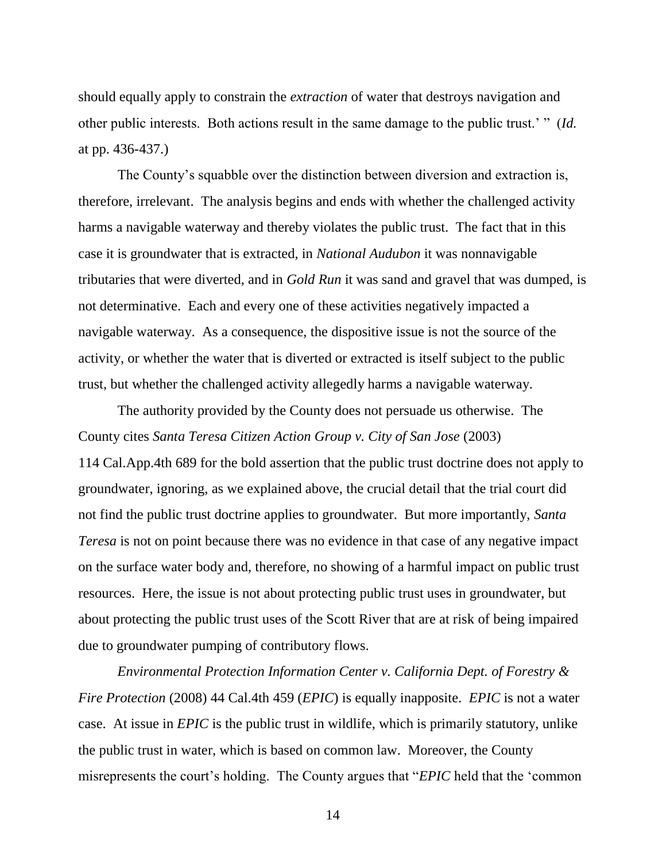should equally apply to constrain the *extraction* of water that destroys navigation and other public interests. Both actions result in the same damage to the public trust.' " (*Id.* at pp. 436-437.)

The County's squabble over the distinction between diversion and extraction is, therefore, irrelevant. The analysis begins and ends with whether the challenged activity harms a navigable waterway and thereby violates the public trust. The fact that in this case it is groundwater that is extracted, in *National Audubon* it was nonnavigable tributaries that were diverted, and in *Gold Run* it was sand and gravel that was dumped, is not determinative. Each and every one of these activities negatively impacted a navigable waterway. As a consequence, the dispositive issue is not the source of the activity, or whether the water that is diverted or extracted is itself subject to the public trust, but whether the challenged activity allegedly harms a navigable waterway.

The authority provided by the County does not persuade us otherwise. The County cites *Santa Teresa Citizen Action Group v. City of San Jose* (2003) 114 Cal.App.4th 689 for the bold assertion that the public trust doctrine does not apply to groundwater, ignoring, as we explained above, the crucial detail that the trial court did not find the public trust doctrine applies to groundwater. But more importantly, *Santa Teresa* is not on point because there was no evidence in that case of any negative impact on the surface water body and, therefore, no showing of a harmful impact on public trust resources. Here, the issue is not about protecting public trust uses in groundwater, but about protecting the public trust uses of the Scott River that are at risk of being impaired due to groundwater pumping of contributory flows.

*Environmental Protection Information Center v. California Dept. of Forestry & Fire Protection* (2008) 44 Cal.4th 459 (*EPIC*) is equally inapposite. *EPIC* is not a water case. At issue in *EPIC* is the public trust in wildlife, which is primarily statutory, unlike the public trust in water, which is based on common law. Moreover, the County misrepresents the court's holding. The County argues that "*EPIC* held that the 'common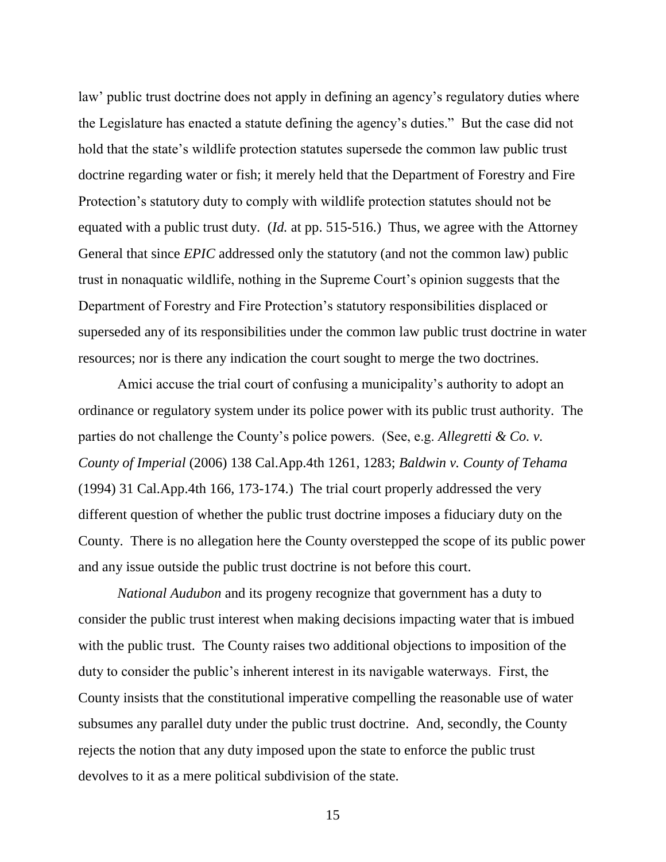law' public trust doctrine does not apply in defining an agency's regulatory duties where the Legislature has enacted a statute defining the agency's duties." But the case did not hold that the state's wildlife protection statutes supersede the common law public trust doctrine regarding water or fish; it merely held that the Department of Forestry and Fire Protection's statutory duty to comply with wildlife protection statutes should not be equated with a public trust duty. (*Id.* at pp. 515-516.) Thus, we agree with the Attorney General that since *EPIC* addressed only the statutory (and not the common law) public trust in nonaquatic wildlife, nothing in the Supreme Court's opinion suggests that the Department of Forestry and Fire Protection's statutory responsibilities displaced or superseded any of its responsibilities under the common law public trust doctrine in water resources; nor is there any indication the court sought to merge the two doctrines.

Amici accuse the trial court of confusing a municipality's authority to adopt an ordinance or regulatory system under its police power with its public trust authority. The parties do not challenge the County's police powers. (See, e.g. *Allegretti & Co. v. County of Imperial* (2006) 138 Cal.App.4th 1261, 1283; *Baldwin v. County of Tehama* (1994) 31 Cal.App.4th 166, 173-174.) The trial court properly addressed the very different question of whether the public trust doctrine imposes a fiduciary duty on the County. There is no allegation here the County overstepped the scope of its public power and any issue outside the public trust doctrine is not before this court.

*National Audubon* and its progeny recognize that government has a duty to consider the public trust interest when making decisions impacting water that is imbued with the public trust. The County raises two additional objections to imposition of the duty to consider the public's inherent interest in its navigable waterways. First, the County insists that the constitutional imperative compelling the reasonable use of water subsumes any parallel duty under the public trust doctrine. And, secondly, the County rejects the notion that any duty imposed upon the state to enforce the public trust devolves to it as a mere political subdivision of the state.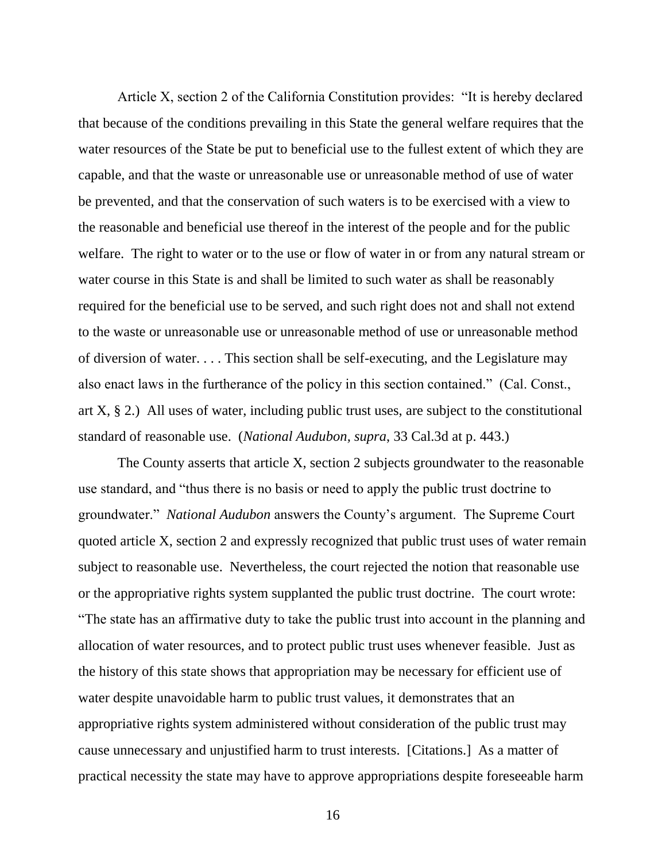Article X, section 2 of the California Constitution provides: "It is hereby declared that because of the conditions prevailing in this State the general welfare requires that the water resources of the State be put to beneficial use to the fullest extent of which they are capable, and that the waste or unreasonable use or unreasonable method of use of water be prevented, and that the conservation of such waters is to be exercised with a view to the reasonable and beneficial use thereof in the interest of the people and for the public welfare. The right to water or to the use or flow of water in or from any natural stream or water course in this State is and shall be limited to such water as shall be reasonably required for the beneficial use to be served, and such right does not and shall not extend to the waste or unreasonable use or unreasonable method of use or unreasonable method of diversion of water. . . . This section shall be self-executing, and the Legislature may also enact laws in the furtherance of the policy in this section contained." (Cal. Const., art X, § 2.) All uses of water, including public trust uses, are subject to the constitutional standard of reasonable use. (*National Audubon, supra*, 33 Cal.3d at p. 443.)

The County asserts that article X, section 2 subjects groundwater to the reasonable use standard, and "thus there is no basis or need to apply the public trust doctrine to groundwater." *National Audubon* answers the County's argument. The Supreme Court quoted article X, section 2 and expressly recognized that public trust uses of water remain subject to reasonable use. Nevertheless, the court rejected the notion that reasonable use or the appropriative rights system supplanted the public trust doctrine. The court wrote: "The state has an affirmative duty to take the public trust into account in the planning and allocation of water resources, and to protect public trust uses whenever feasible. Just as the history of this state shows that appropriation may be necessary for efficient use of water despite unavoidable harm to public trust values, it demonstrates that an appropriative rights system administered without consideration of the public trust may cause unnecessary and unjustified harm to trust interests. [Citations.] As a matter of practical necessity the state may have to approve appropriations despite foreseeable harm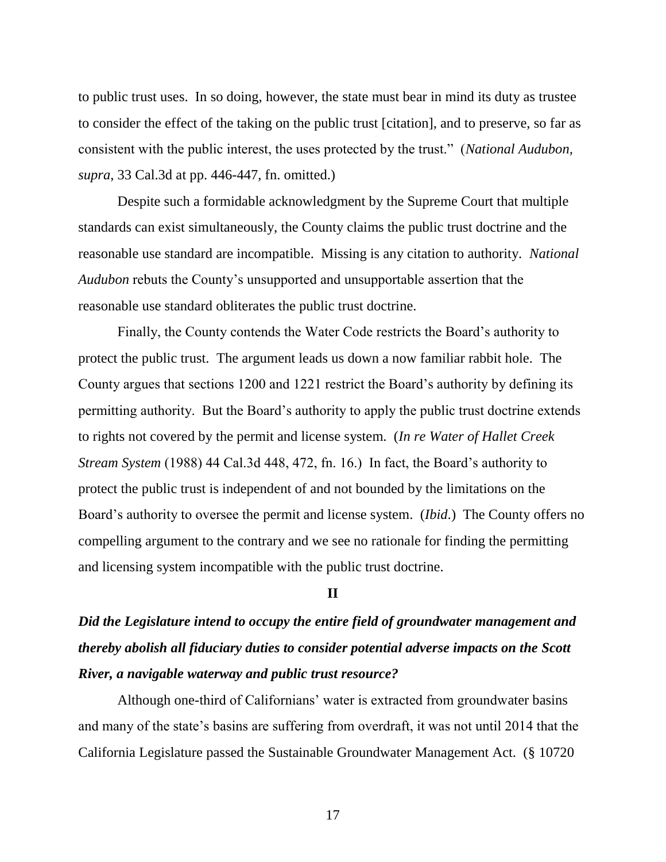to public trust uses. In so doing, however, the state must bear in mind its duty as trustee to consider the effect of the taking on the public trust [citation], and to preserve, so far as consistent with the public interest, the uses protected by the trust." (*National Audubon, supra*, 33 Cal.3d at pp. 446-447, fn. omitted.)

Despite such a formidable acknowledgment by the Supreme Court that multiple standards can exist simultaneously, the County claims the public trust doctrine and the reasonable use standard are incompatible. Missing is any citation to authority. *National Audubon* rebuts the County's unsupported and unsupportable assertion that the reasonable use standard obliterates the public trust doctrine.

Finally, the County contends the Water Code restricts the Board's authority to protect the public trust. The argument leads us down a now familiar rabbit hole. The County argues that sections 1200 and 1221 restrict the Board's authority by defining its permitting authority. But the Board's authority to apply the public trust doctrine extends to rights not covered by the permit and license system. (*In re Water of Hallet Creek Stream System* (1988) 44 Cal.3d 448, 472, fn. 16.) In fact, the Board's authority to protect the public trust is independent of and not bounded by the limitations on the Board's authority to oversee the permit and license system. (*Ibid*.) The County offers no compelling argument to the contrary and we see no rationale for finding the permitting and licensing system incompatible with the public trust doctrine.

## **II**

## *Did the Legislature intend to occupy the entire field of groundwater management and thereby abolish all fiduciary duties to consider potential adverse impacts on the Scott River, a navigable waterway and public trust resource?*

Although one-third of Californians' water is extracted from groundwater basins and many of the state's basins are suffering from overdraft, it was not until 2014 that the California Legislature passed the Sustainable Groundwater Management Act. (§ 10720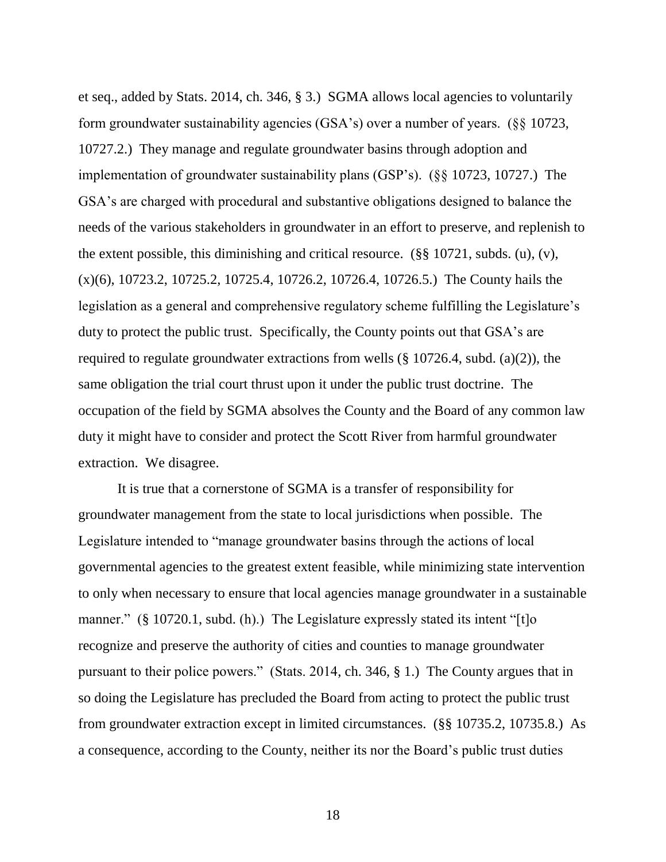et seq., added by Stats. 2014, ch. 346, § 3.) SGMA allows local agencies to voluntarily form groundwater sustainability agencies (GSA's) over a number of years. (§§ 10723, 10727.2.) They manage and regulate groundwater basins through adoption and implementation of groundwater sustainability plans (GSP's). (§§ 10723, 10727.) The GSA's are charged with procedural and substantive obligations designed to balance the needs of the various stakeholders in groundwater in an effort to preserve, and replenish to the extent possible, this diminishing and critical resource. (§§ 10721, subds. (u), (v), (x)(6), 10723.2, 10725.2, 10725.4, 10726.2, 10726.4, 10726.5.) The County hails the legislation as a general and comprehensive regulatory scheme fulfilling the Legislature's duty to protect the public trust. Specifically, the County points out that GSA's are required to regulate groundwater extractions from wells  $(\S 10726.4, \text{subd.} (a)(2))$ , the same obligation the trial court thrust upon it under the public trust doctrine. The occupation of the field by SGMA absolves the County and the Board of any common law duty it might have to consider and protect the Scott River from harmful groundwater extraction. We disagree.

It is true that a cornerstone of SGMA is a transfer of responsibility for groundwater management from the state to local jurisdictions when possible. The Legislature intended to "manage groundwater basins through the actions of local governmental agencies to the greatest extent feasible, while minimizing state intervention to only when necessary to ensure that local agencies manage groundwater in a sustainable manner." (§ 10720.1, subd. (h).) The Legislature expressly stated its intent "[t]o recognize and preserve the authority of cities and counties to manage groundwater pursuant to their police powers." (Stats. 2014, ch. 346, § 1.) The County argues that in so doing the Legislature has precluded the Board from acting to protect the public trust from groundwater extraction except in limited circumstances. (§§ 10735.2, 10735.8.) As a consequence, according to the County, neither its nor the Board's public trust duties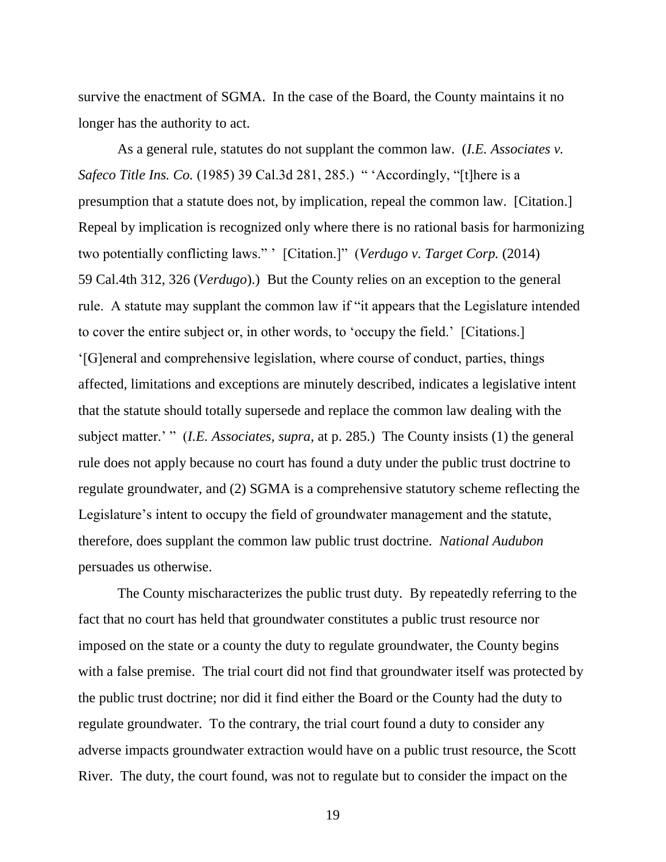survive the enactment of SGMA. In the case of the Board, the County maintains it no longer has the authority to act.

As a general rule, statutes do not supplant the common law. (*I.E. Associates v. Safeco Title Ins. Co.* (1985) 39 Cal.3d 281, 285.) " 'Accordingly, "[t]here is a presumption that a statute does not, by implication, repeal the common law. [Citation.] Repeal by implication is recognized only where there is no rational basis for harmonizing two potentially conflicting laws." ' [Citation.]" (*Verdugo v. Target Corp.* (2014) 59 Cal.4th 312, 326 (*Verdugo*).) But the County relies on an exception to the general rule. A statute may supplant the common law if "it appears that the Legislature intended to cover the entire subject or, in other words, to 'occupy the field.' [Citations.] '[G]eneral and comprehensive legislation, where course of conduct, parties, things affected, limitations and exceptions are minutely described, indicates a legislative intent that the statute should totally supersede and replace the common law dealing with the subject matter.' " (*I.E. Associates, supra, at p. 285.*) The County insists (1) the general rule does not apply because no court has found a duty under the public trust doctrine to regulate groundwater, and (2) SGMA is a comprehensive statutory scheme reflecting the Legislature's intent to occupy the field of groundwater management and the statute, therefore, does supplant the common law public trust doctrine. *National Audubon* persuades us otherwise.

The County mischaracterizes the public trust duty. By repeatedly referring to the fact that no court has held that groundwater constitutes a public trust resource nor imposed on the state or a county the duty to regulate groundwater, the County begins with a false premise. The trial court did not find that groundwater itself was protected by the public trust doctrine; nor did it find either the Board or the County had the duty to regulate groundwater. To the contrary, the trial court found a duty to consider any adverse impacts groundwater extraction would have on a public trust resource, the Scott River. The duty, the court found, was not to regulate but to consider the impact on the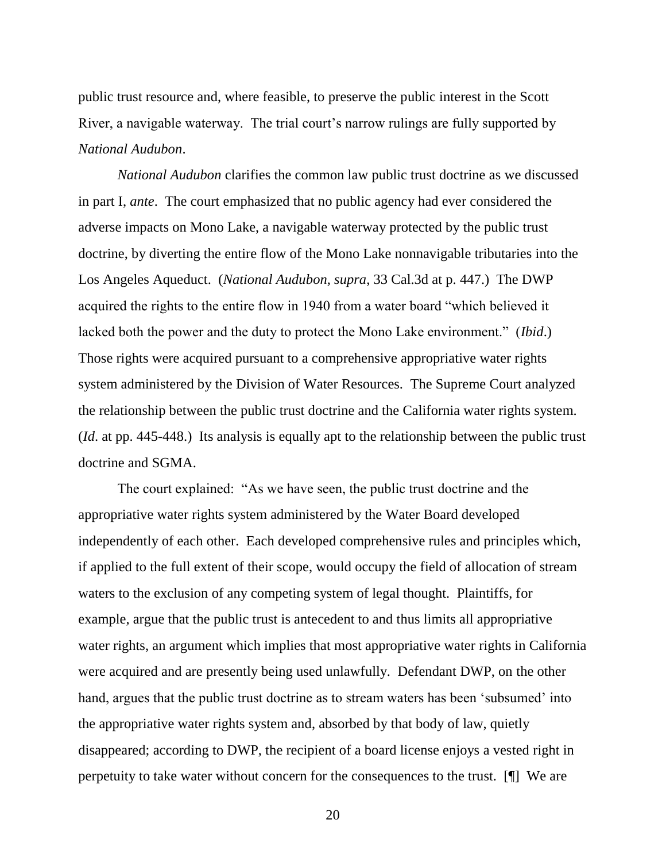public trust resource and, where feasible, to preserve the public interest in the Scott River, a navigable waterway. The trial court's narrow rulings are fully supported by *National Audubon*.

*National Audubon* clarifies the common law public trust doctrine as we discussed in part I, *ante*. The court emphasized that no public agency had ever considered the adverse impacts on Mono Lake, a navigable waterway protected by the public trust doctrine, by diverting the entire flow of the Mono Lake nonnavigable tributaries into the Los Angeles Aqueduct. (*National Audubon, supra*, 33 Cal.3d at p. 447.) The DWP acquired the rights to the entire flow in 1940 from a water board "which believed it lacked both the power and the duty to protect the Mono Lake environment." (*Ibid*.) Those rights were acquired pursuant to a comprehensive appropriative water rights system administered by the Division of Water Resources. The Supreme Court analyzed the relationship between the public trust doctrine and the California water rights system. (*Id*. at pp. 445-448.) Its analysis is equally apt to the relationship between the public trust doctrine and SGMA.

The court explained: "As we have seen, the public trust doctrine and the appropriative water rights system administered by the Water Board developed independently of each other. Each developed comprehensive rules and principles which, if applied to the full extent of their scope, would occupy the field of allocation of stream waters to the exclusion of any competing system of legal thought. Plaintiffs, for example, argue that the public trust is antecedent to and thus limits all appropriative water rights, an argument which implies that most appropriative water rights in California were acquired and are presently being used unlawfully. Defendant DWP, on the other hand, argues that the public trust doctrine as to stream waters has been 'subsumed' into the appropriative water rights system and, absorbed by that body of law, quietly disappeared; according to DWP, the recipient of a board license enjoys a vested right in perpetuity to take water without concern for the consequences to the trust. [¶] We are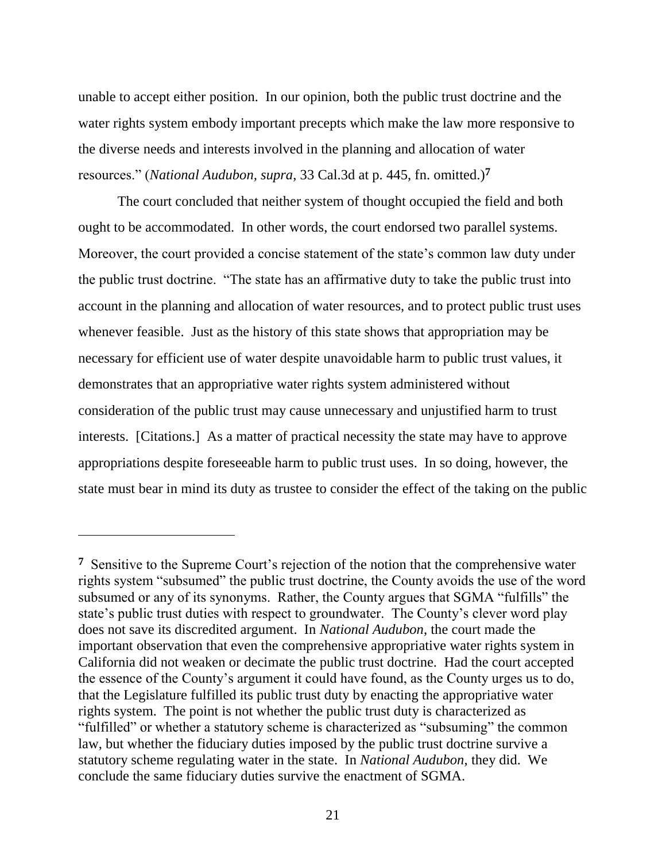unable to accept either position. In our opinion, both the public trust doctrine and the water rights system embody important precepts which make the law more responsive to the diverse needs and interests involved in the planning and allocation of water resources." (*National Audubon, supra*, 33 Cal.3d at p. 445, fn. omitted.)**<sup>7</sup>**

The court concluded that neither system of thought occupied the field and both ought to be accommodated. In other words, the court endorsed two parallel systems. Moreover, the court provided a concise statement of the state's common law duty under the public trust doctrine. "The state has an affirmative duty to take the public trust into account in the planning and allocation of water resources, and to protect public trust uses whenever feasible. Just as the history of this state shows that appropriation may be necessary for efficient use of water despite unavoidable harm to public trust values, it demonstrates that an appropriative water rights system administered without consideration of the public trust may cause unnecessary and unjustified harm to trust interests. [Citations.] As a matter of practical necessity the state may have to approve appropriations despite foreseeable harm to public trust uses. In so doing, however, the state must bear in mind its duty as trustee to consider the effect of the taking on the public

**<sup>7</sup>** Sensitive to the Supreme Court's rejection of the notion that the comprehensive water rights system "subsumed" the public trust doctrine, the County avoids the use of the word subsumed or any of its synonyms. Rather, the County argues that SGMA "fulfills" the state's public trust duties with respect to groundwater. The County's clever word play does not save its discredited argument. In *National Audubon*, the court made the important observation that even the comprehensive appropriative water rights system in California did not weaken or decimate the public trust doctrine. Had the court accepted the essence of the County's argument it could have found, as the County urges us to do, that the Legislature fulfilled its public trust duty by enacting the appropriative water rights system. The point is not whether the public trust duty is characterized as "fulfilled" or whether a statutory scheme is characterized as "subsuming" the common law, but whether the fiduciary duties imposed by the public trust doctrine survive a statutory scheme regulating water in the state. In *National Audubon*, they did. We conclude the same fiduciary duties survive the enactment of SGMA.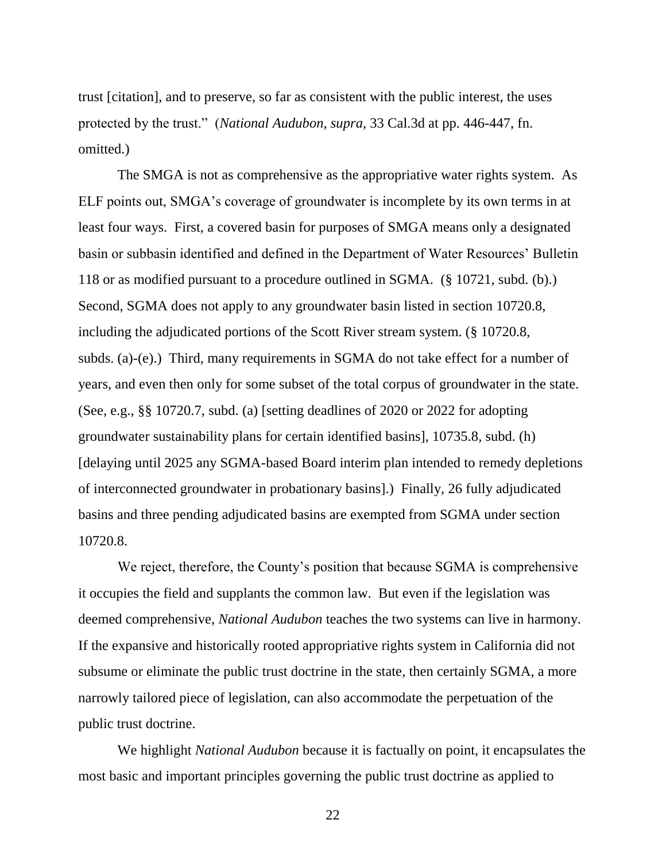trust [citation], and to preserve, so far as consistent with the public interest, the uses protected by the trust." (*National Audubon, supra*, 33 Cal.3d at pp. 446-447, fn. omitted.)

The SMGA is not as comprehensive as the appropriative water rights system. As ELF points out, SMGA's coverage of groundwater is incomplete by its own terms in at least four ways. First, a covered basin for purposes of SMGA means only a designated basin or subbasin identified and defined in the Department of Water Resources' Bulletin 118 or as modified pursuant to a procedure outlined in SGMA. (§ 10721, subd. (b).) Second, SGMA does not apply to any groundwater basin listed in section 10720.8, including the adjudicated portions of the Scott River stream system. (§ 10720.8, subds. (a)-(e).) Third, many requirements in SGMA do not take effect for a number of years, and even then only for some subset of the total corpus of groundwater in the state. (See, e.g., §§ 10720.7, subd. (a) [setting deadlines of 2020 or 2022 for adopting groundwater sustainability plans for certain identified basins], 10735.8, subd. (h) [delaying until 2025 any SGMA-based Board interim plan intended to remedy depletions of interconnected groundwater in probationary basins].) Finally, 26 fully adjudicated basins and three pending adjudicated basins are exempted from SGMA under section 10720.8.

We reject, therefore, the County's position that because SGMA is comprehensive it occupies the field and supplants the common law. But even if the legislation was deemed comprehensive, *National Audubon* teaches the two systems can live in harmony. If the expansive and historically rooted appropriative rights system in California did not subsume or eliminate the public trust doctrine in the state, then certainly SGMA, a more narrowly tailored piece of legislation, can also accommodate the perpetuation of the public trust doctrine.

We highlight *National Audubon* because it is factually on point, it encapsulates the most basic and important principles governing the public trust doctrine as applied to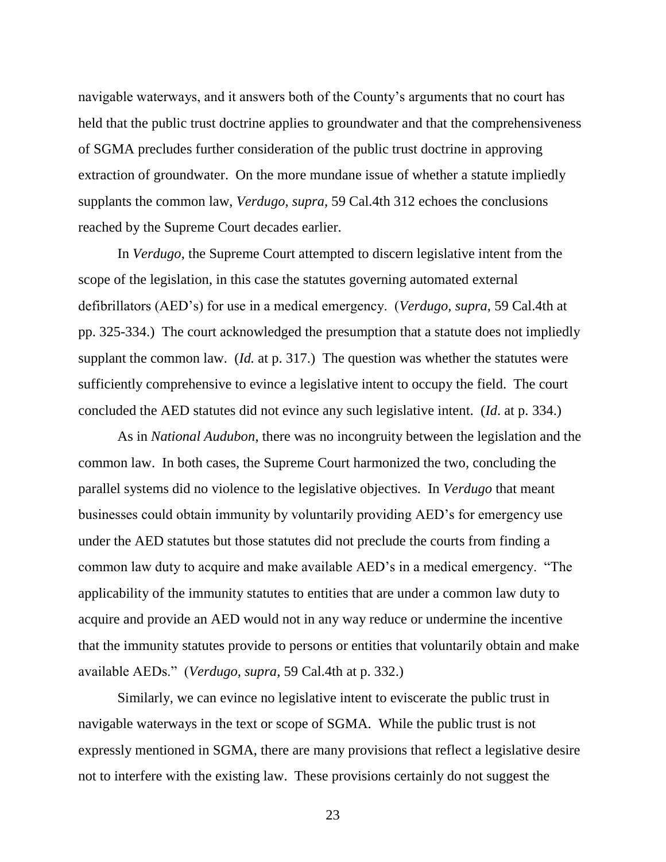navigable waterways, and it answers both of the County's arguments that no court has held that the public trust doctrine applies to groundwater and that the comprehensiveness of SGMA precludes further consideration of the public trust doctrine in approving extraction of groundwater. On the more mundane issue of whether a statute impliedly supplants the common law, *Verdugo, supra*, 59 Cal.4th 312 echoes the conclusions reached by the Supreme Court decades earlier.

In *Verdugo*, the Supreme Court attempted to discern legislative intent from the scope of the legislation, in this case the statutes governing automated external defibrillators (AED's) for use in a medical emergency. (*Verdugo, supra*, 59 Cal.4th at pp. 325-334.) The court acknowledged the presumption that a statute does not impliedly supplant the common law. (*Id.* at p. 317.) The question was whether the statutes were sufficiently comprehensive to evince a legislative intent to occupy the field. The court concluded the AED statutes did not evince any such legislative intent. (*Id*. at p. 334.)

As in *National Audubon*, there was no incongruity between the legislation and the common law. In both cases, the Supreme Court harmonized the two, concluding the parallel systems did no violence to the legislative objectives. In *Verdugo* that meant businesses could obtain immunity by voluntarily providing AED's for emergency use under the AED statutes but those statutes did not preclude the courts from finding a common law duty to acquire and make available AED's in a medical emergency. "The applicability of the immunity statutes to entities that are under a common law duty to acquire and provide an AED would not in any way reduce or undermine the incentive that the immunity statutes provide to persons or entities that voluntarily obtain and make available AEDs." (*Verdugo, supra*, 59 Cal.4th at p. 332.)

Similarly, we can evince no legislative intent to eviscerate the public trust in navigable waterways in the text or scope of SGMA. While the public trust is not expressly mentioned in SGMA, there are many provisions that reflect a legislative desire not to interfere with the existing law. These provisions certainly do not suggest the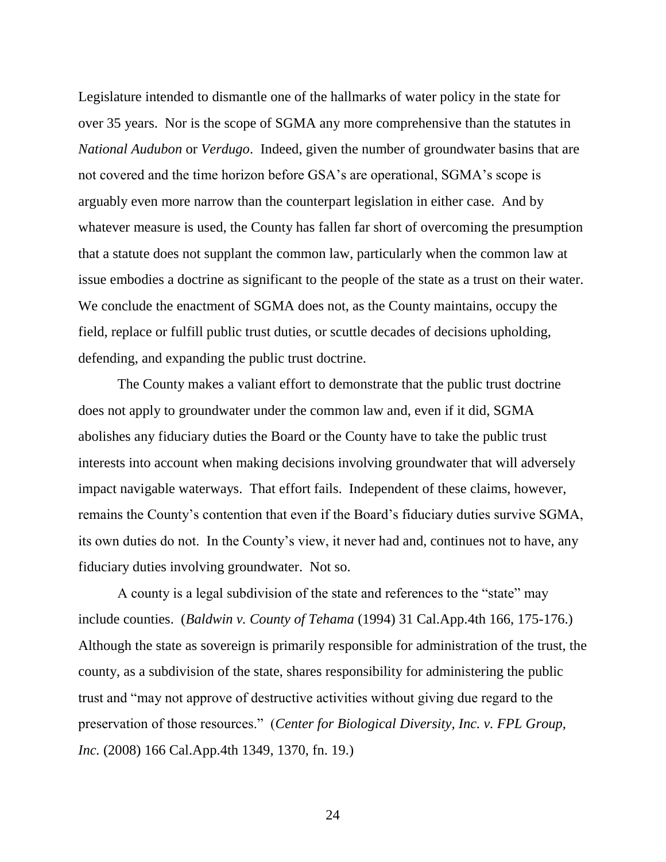Legislature intended to dismantle one of the hallmarks of water policy in the state for over 35 years. Nor is the scope of SGMA any more comprehensive than the statutes in *National Audubon* or *Verdugo*. Indeed, given the number of groundwater basins that are not covered and the time horizon before GSA's are operational, SGMA's scope is arguably even more narrow than the counterpart legislation in either case. And by whatever measure is used, the County has fallen far short of overcoming the presumption that a statute does not supplant the common law, particularly when the common law at issue embodies a doctrine as significant to the people of the state as a trust on their water. We conclude the enactment of SGMA does not, as the County maintains, occupy the field, replace or fulfill public trust duties, or scuttle decades of decisions upholding, defending, and expanding the public trust doctrine.

The County makes a valiant effort to demonstrate that the public trust doctrine does not apply to groundwater under the common law and, even if it did, SGMA abolishes any fiduciary duties the Board or the County have to take the public trust interests into account when making decisions involving groundwater that will adversely impact navigable waterways. That effort fails. Independent of these claims, however, remains the County's contention that even if the Board's fiduciary duties survive SGMA, its own duties do not. In the County's view, it never had and, continues not to have, any fiduciary duties involving groundwater. Not so.

A county is a legal subdivision of the state and references to the "state" may include counties. (*Baldwin v. County of Tehama* (1994) 31 Cal.App.4th 166, 175-176.) Although the state as sovereign is primarily responsible for administration of the trust, the county, as a subdivision of the state, shares responsibility for administering the public trust and "may not approve of destructive activities without giving due regard to the preservation of those resources." (*Center for Biological Diversity, Inc. v. FPL Group, Inc.* (2008) 166 Cal.App.4th 1349, 1370, fn. 19.)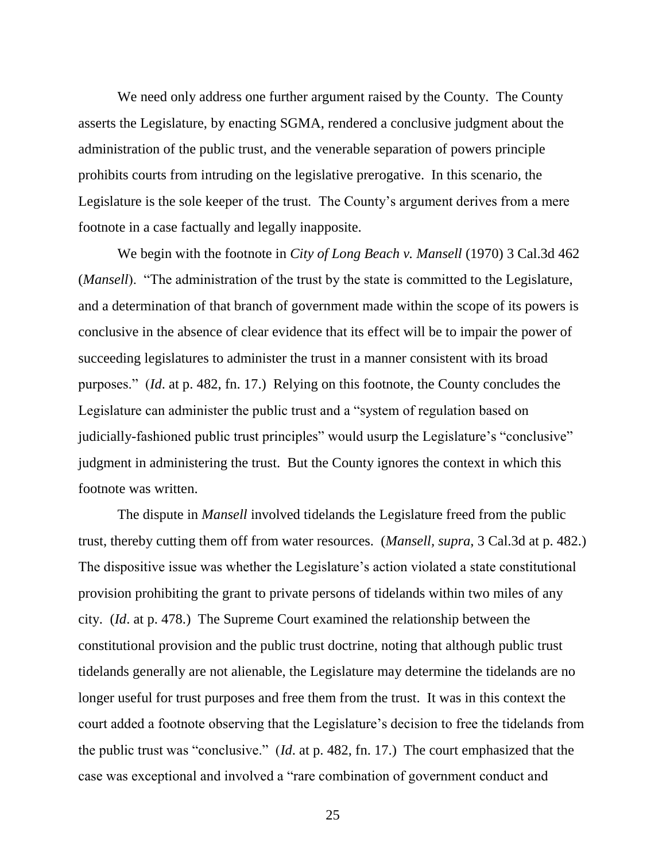We need only address one further argument raised by the County. The County asserts the Legislature, by enacting SGMA, rendered a conclusive judgment about the administration of the public trust, and the venerable separation of powers principle prohibits courts from intruding on the legislative prerogative. In this scenario, the Legislature is the sole keeper of the trust. The County's argument derives from a mere footnote in a case factually and legally inapposite.

We begin with the footnote in *City of Long Beach v. Mansell* (1970) 3 Cal.3d 462 (*Mansell*). "The administration of the trust by the state is committed to the Legislature, and a determination of that branch of government made within the scope of its powers is conclusive in the absence of clear evidence that its effect will be to impair the power of succeeding legislatures to administer the trust in a manner consistent with its broad purposes." (*Id*. at p. 482, fn. 17.) Relying on this footnote, the County concludes the Legislature can administer the public trust and a "system of regulation based on judicially-fashioned public trust principles" would usurp the Legislature's "conclusive" judgment in administering the trust. But the County ignores the context in which this footnote was written.

The dispute in *Mansell* involved tidelands the Legislature freed from the public trust, thereby cutting them off from water resources. (*Mansell, supra*, 3 Cal.3d at p. 482.) The dispositive issue was whether the Legislature's action violated a state constitutional provision prohibiting the grant to private persons of tidelands within two miles of any city. (*Id*. at p. 478.) The Supreme Court examined the relationship between the constitutional provision and the public trust doctrine, noting that although public trust tidelands generally are not alienable, the Legislature may determine the tidelands are no longer useful for trust purposes and free them from the trust. It was in this context the court added a footnote observing that the Legislature's decision to free the tidelands from the public trust was "conclusive." (*Id*. at p. 482, fn. 17.) The court emphasized that the case was exceptional and involved a "rare combination of government conduct and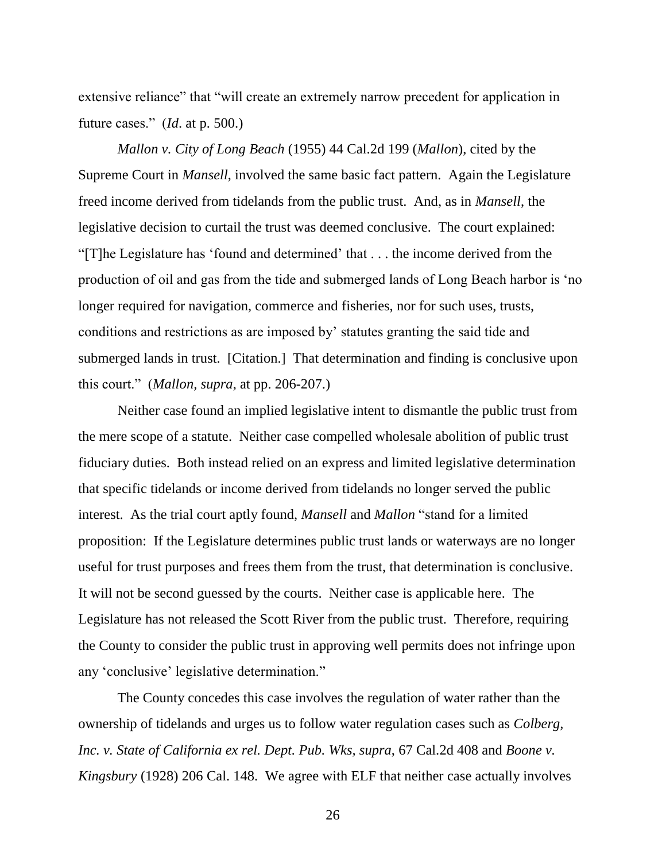extensive reliance" that "will create an extremely narrow precedent for application in future cases." (*Id*. at p. 500.)

*Mallon v. City of Long Beach* (1955) 44 Cal.2d 199 (*Mallon*), cited by the Supreme Court in *Mansell*, involved the same basic fact pattern. Again the Legislature freed income derived from tidelands from the public trust. And, as in *Mansell*, the legislative decision to curtail the trust was deemed conclusive. The court explained: "[T]he Legislature has 'found and determined' that . . . the income derived from the production of oil and gas from the tide and submerged lands of Long Beach harbor is 'no longer required for navigation, commerce and fisheries, nor for such uses, trusts, conditions and restrictions as are imposed by' statutes granting the said tide and submerged lands in trust. [Citation.] That determination and finding is conclusive upon this court." (*Mallon, supra*, at pp. 206-207.)

Neither case found an implied legislative intent to dismantle the public trust from the mere scope of a statute. Neither case compelled wholesale abolition of public trust fiduciary duties. Both instead relied on an express and limited legislative determination that specific tidelands or income derived from tidelands no longer served the public interest. As the trial court aptly found, *Mansell* and *Mallon* "stand for a limited proposition: If the Legislature determines public trust lands or waterways are no longer useful for trust purposes and frees them from the trust, that determination is conclusive. It will not be second guessed by the courts. Neither case is applicable here. The Legislature has not released the Scott River from the public trust. Therefore, requiring the County to consider the public trust in approving well permits does not infringe upon any 'conclusive' legislative determination."

The County concedes this case involves the regulation of water rather than the ownership of tidelands and urges us to follow water regulation cases such as *Colberg, Inc. v. State of California ex rel. Dept. Pub. Wks, supra*, 67 Cal.2d 408 and *Boone v. Kingsbury* (1928) 206 Cal. 148. We agree with ELF that neither case actually involves